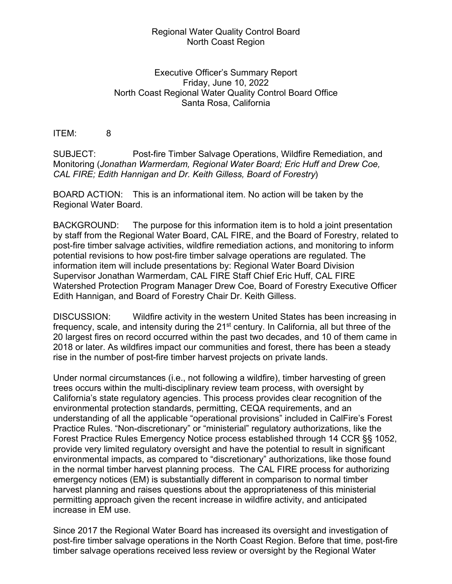## Regional Water Quality Control Board North Coast Region

## Executive Officer's Summary Report Friday, June 10, 2022 North Coast Regional Water Quality Control Board Office Santa Rosa, California

## ITEM: 8

SUBJECT: Post-fire Timber Salvage Operations, Wildfire Remediation, and Monitoring (*Jonathan Warmerdam, Regional Water Board; Eric Huff and Drew Coe, CAL FIRE; Edith Hannigan and Dr. Keith Gilless, Board of Forestry*)

BOARD ACTION: This is an informational item. No action will be taken by the Regional Water Board.

BACKGROUND: The purpose for this information item is to hold a joint presentation by staff from the Regional Water Board, CAL FIRE, and the Board of Forestry, related to post-fire timber salvage activities, wildfire remediation actions, and monitoring to inform potential revisions to how post-fire timber salvage operations are regulated. The information item will include presentations by: Regional Water Board Division Supervisor Jonathan Warmerdam, CAL FIRE Staff Chief Eric Huff, CAL FIRE Watershed Protection Program Manager Drew Coe, Board of Forestry Executive Officer Edith Hannigan, and Board of Forestry Chair Dr. Keith Gilless.

DISCUSSION: Wildfire activity in the western United States has been increasing in frequency, scale, and intensity during the  $21<sup>st</sup>$  century. In California, all but three of the 20 largest fires on record occurred within the past two decades, and 10 of them came in 2018 or later. As wildfires impact our communities and forest, there has been a steady rise in the number of post-fire timber harvest projects on private lands.

Under normal circumstances (i.e., not following a wildfire), timber harvesting of green trees occurs within the multi-disciplinary review team process, with oversight by California's state regulatory agencies. This process provides clear recognition of the environmental protection standards, permitting, CEQA requirements, and an understanding of all the applicable "operational provisions" included in CalFire's Forest Practice Rules. "Non-discretionary" or "ministerial" regulatory authorizations, like the Forest Practice Rules Emergency Notice process established through 14 CCR §§ 1052, provide very limited regulatory oversight and have the potential to result in significant environmental impacts, as compared to "discretionary" authorizations, like those found in the normal timber harvest planning process. The CAL FIRE process for authorizing emergency notices (EM) is substantially different in comparison to normal timber harvest planning and raises questions about the appropriateness of this ministerial permitting approach given the recent increase in wildfire activity, and anticipated increase in EM use.

Since 2017 the Regional Water Board has increased its oversight and investigation of post-fire timber salvage operations in the North Coast Region. Before that time, post-fire timber salvage operations received less review or oversight by the Regional Water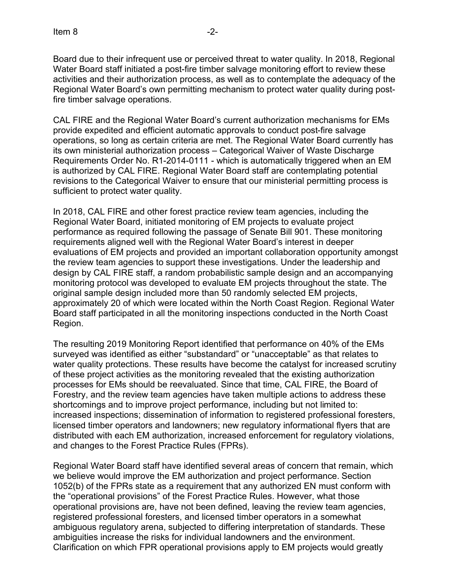Board due to their infrequent use or perceived threat to water quality. In 2018, Regional Water Board staff initiated a post-fire timber salvage monitoring effort to review these activities and their authorization process, as well as to contemplate the adequacy of the Regional Water Board's own permitting mechanism to protect water quality during postfire timber salvage operations.

CAL FIRE and the Regional Water Board's current authorization mechanisms for EMs provide expedited and efficient automatic approvals to conduct post-fire salvage operations, so long as certain criteria are met. The Regional Water Board currently has its own ministerial authorization process – Categorical Waiver of Waste Discharge Requirements Order No. R1-2014-0111 - which is automatically triggered when an EM is authorized by CAL FIRE. Regional Water Board staff are contemplating potential revisions to the Categorical Waiver to ensure that our ministerial permitting process is sufficient to protect water quality.

In 2018, CAL FIRE and other forest practice review team agencies, including the Regional Water Board, initiated monitoring of EM projects to evaluate project performance as required following the passage of Senate Bill 901. These monitoring requirements aligned well with the Regional Water Board's interest in deeper evaluations of EM projects and provided an important collaboration opportunity amongst the review team agencies to support these investigations. Under the leadership and design by CAL FIRE staff, a random probabilistic sample design and an accompanying monitoring protocol was developed to evaluate EM projects throughout the state. The original sample design included more than 50 randomly selected EM projects, approximately 20 of which were located within the North Coast Region. Regional Water Board staff participated in all the monitoring inspections conducted in the North Coast Region.

The resulting 2019 Monitoring Report identified that performance on 40% of the EMs surveyed was identified as either "substandard" or "unacceptable" as that relates to water quality protections. These results have become the catalyst for increased scrutiny of these project activities as the monitoring revealed that the existing authorization processes for EMs should be reevaluated. Since that time, CAL FIRE, the Board of Forestry, and the review team agencies have taken multiple actions to address these shortcomings and to improve project performance, including but not limited to: increased inspections; dissemination of information to registered professional foresters, licensed timber operators and landowners; new regulatory informational flyers that are distributed with each EM authorization, increased enforcement for regulatory violations, and changes to the Forest Practice Rules (FPRs).

Regional Water Board staff have identified several areas of concern that remain, which we believe would improve the EM authorization and project performance. Section 1052(b) of the FPRs state as a requirement that any authorized EN must conform with the "operational provisions" of the Forest Practice Rules. However, what those operational provisions are, have not been defined, leaving the review team agencies, registered professional foresters, and licensed timber operators in a somewhat ambiguous regulatory arena, subjected to differing interpretation of standards. These ambiguities increase the risks for individual landowners and the environment. Clarification on which FPR operational provisions apply to EM projects would greatly